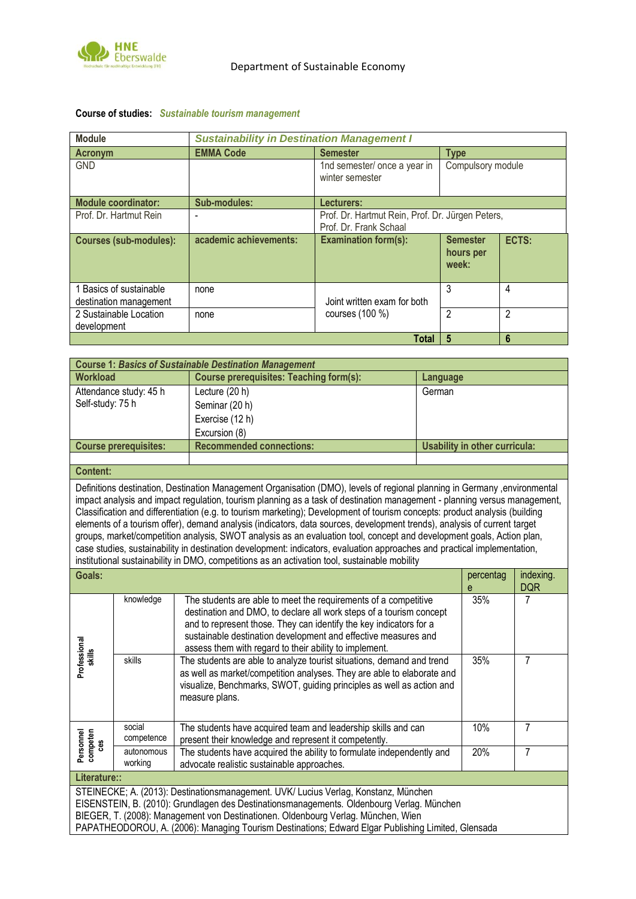

| <b>Module</b>                                     | <b>Sustainability in Destination Management I</b> |                                                                            |                                       |                |  |  |
|---------------------------------------------------|---------------------------------------------------|----------------------------------------------------------------------------|---------------------------------------|----------------|--|--|
| Acronym                                           | <b>EMMA Code</b>                                  | <b>Semester</b>                                                            | <b>Type</b>                           |                |  |  |
| <b>GND</b>                                        |                                                   | 1nd semester/ once a year in<br>winter semester                            | Compulsory module                     |                |  |  |
| <b>Module coordinator:</b>                        | Sub-modules:                                      | Lecturers:                                                                 |                                       |                |  |  |
| Prof. Dr. Hartmut Rein                            |                                                   | Prof. Dr. Hartmut Rein, Prof. Dr. Jürgen Peters,<br>Prof. Dr. Frank Schaal |                                       |                |  |  |
| <b>Courses (sub-modules):</b>                     | academic achievements:                            | <b>Examination form(s):</b>                                                | <b>Semester</b><br>hours per<br>week: | ECTS:          |  |  |
| 1 Basics of sustainable<br>destination management | none                                              | Joint written exam for both                                                | 3                                     | 4              |  |  |
| 2 Sustainable Location<br>development             | none                                              | courses $(100 %$                                                           | $\mathfrak{p}$                        | $\mathfrak{p}$ |  |  |
| 5<br>$6\phantom{1}6$<br><b>Total</b>              |                                                   |                                                                            |                                       |                |  |  |

## **Course of studies:** *Sustainable tourism management*

| <b>Course 1: Basics of Sustainable Destination Management</b>                                                                                                                                                                                                                                                                                                                                                                                                                                                                                                                                                                                                                                                                                                                                                                                                           |                                                                                                         |                                                                                                                                                                                                                                                                                                      |                 |                |                         |  |  |
|-------------------------------------------------------------------------------------------------------------------------------------------------------------------------------------------------------------------------------------------------------------------------------------------------------------------------------------------------------------------------------------------------------------------------------------------------------------------------------------------------------------------------------------------------------------------------------------------------------------------------------------------------------------------------------------------------------------------------------------------------------------------------------------------------------------------------------------------------------------------------|---------------------------------------------------------------------------------------------------------|------------------------------------------------------------------------------------------------------------------------------------------------------------------------------------------------------------------------------------------------------------------------------------------------------|-----------------|----------------|-------------------------|--|--|
| <b>Workload</b>                                                                                                                                                                                                                                                                                                                                                                                                                                                                                                                                                                                                                                                                                                                                                                                                                                                         |                                                                                                         | <b>Course prerequisites: Teaching form(s):</b>                                                                                                                                                                                                                                                       | <b>Language</b> |                |                         |  |  |
| Self-study: 75 h                                                                                                                                                                                                                                                                                                                                                                                                                                                                                                                                                                                                                                                                                                                                                                                                                                                        | Attendance study: 45 h                                                                                  | Lecture (20 h)<br>Seminar (20 h)<br>Exercise (12 h)<br>Excursion (8)                                                                                                                                                                                                                                 | German          |                |                         |  |  |
|                                                                                                                                                                                                                                                                                                                                                                                                                                                                                                                                                                                                                                                                                                                                                                                                                                                                         | <b>Recommended connections:</b><br><b>Usability in other curricula:</b><br><b>Course prerequisites:</b> |                                                                                                                                                                                                                                                                                                      |                 |                |                         |  |  |
|                                                                                                                                                                                                                                                                                                                                                                                                                                                                                                                                                                                                                                                                                                                                                                                                                                                                         |                                                                                                         |                                                                                                                                                                                                                                                                                                      |                 |                |                         |  |  |
| <b>Content:</b>                                                                                                                                                                                                                                                                                                                                                                                                                                                                                                                                                                                                                                                                                                                                                                                                                                                         |                                                                                                         |                                                                                                                                                                                                                                                                                                      |                 |                |                         |  |  |
| Definitions destination, Destination Management Organisation (DMO), levels of regional planning in Germany ,environmental<br>impact analysis and impact regulation, tourism planning as a task of destination management - planning versus management,<br>Classification and differentiation (e.g. to tourism marketing); Development of tourism concepts: product analysis (building<br>elements of a tourism offer), demand analysis (indicators, data sources, development trends), analysis of current target<br>groups, market/competition analysis, SWOT analysis as an evaluation tool, concept and development goals, Action plan,<br>case studies, sustainability in destination development: indicators, evaluation approaches and practical implementation,<br>institutional sustainability in DMO, competitions as an activation tool, sustainable mobility |                                                                                                         |                                                                                                                                                                                                                                                                                                      |                 |                |                         |  |  |
| Goals:                                                                                                                                                                                                                                                                                                                                                                                                                                                                                                                                                                                                                                                                                                                                                                                                                                                                  |                                                                                                         |                                                                                                                                                                                                                                                                                                      |                 |                |                         |  |  |
|                                                                                                                                                                                                                                                                                                                                                                                                                                                                                                                                                                                                                                                                                                                                                                                                                                                                         |                                                                                                         |                                                                                                                                                                                                                                                                                                      |                 | percentag<br>e | indexing.<br><b>DQR</b> |  |  |
|                                                                                                                                                                                                                                                                                                                                                                                                                                                                                                                                                                                                                                                                                                                                                                                                                                                                         | knowledge                                                                                               | The students are able to meet the requirements of a competitive<br>destination and DMO, to declare all work steps of a tourism concept<br>and to represent those. They can identify the key indicators for a<br>sustainable destination development and effective measures and                       |                 | 35%            | 7                       |  |  |
| Professional<br>skills                                                                                                                                                                                                                                                                                                                                                                                                                                                                                                                                                                                                                                                                                                                                                                                                                                                  | skills                                                                                                  | assess them with regard to their ability to implement.<br>The students are able to analyze tourist situations, demand and trend<br>as well as market/competition analyses. They are able to elaborate and<br>visualize, Benchmarks, SWOT, guiding principles as well as action and<br>measure plans. |                 | 35%            | $\overline{7}$          |  |  |
|                                                                                                                                                                                                                                                                                                                                                                                                                                                                                                                                                                                                                                                                                                                                                                                                                                                                         | social<br>competence                                                                                    | The students have acquired team and leadership skills and can<br>present their knowledge and represent it competently.                                                                                                                                                                               |                 | 10%            | 7                       |  |  |
| Personnel<br>competen<br><b>ces</b>                                                                                                                                                                                                                                                                                                                                                                                                                                                                                                                                                                                                                                                                                                                                                                                                                                     | autonomous<br>working                                                                                   | The students have acquired the ability to formulate independently and<br>advocate realistic sustainable approaches.                                                                                                                                                                                  |                 | 20%            | $\overline{7}$          |  |  |

STEINECKE; A. (2013): Destinationsmanagement. UVK/ Lucius Verlag, Konstanz, München EISENSTEIN, B. (2010): Grundlagen des Destinationsmanagements. Oldenbourg Verlag. München BIEGER, T. (2008): Management von Destinationen. Oldenbourg Verlag. München, Wien PAPATHEODOROU, A. (2006): Managing Tourism Destinations; Edward Elgar Publishing Limited, Glensada